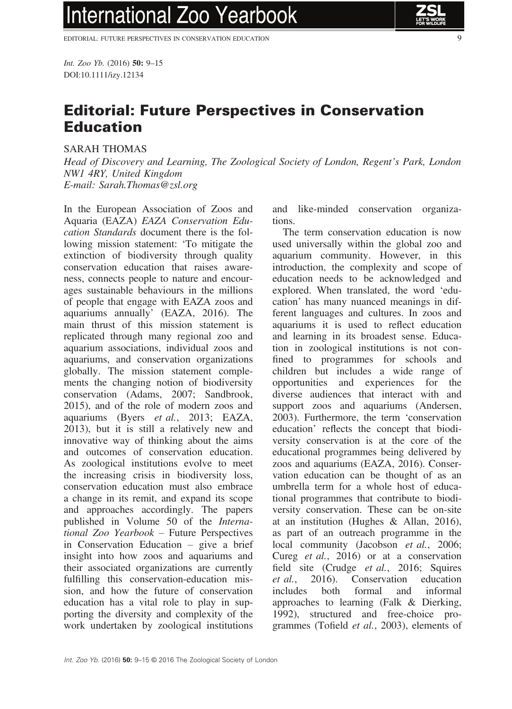EDITORIAL: FUTURE PERSPECTIVES IN CONSERVATION EDUCATION 9

Int. Zoo Yb. (2016) 50: 9–15 DOI:10.1111/izy.12134

## Editorial: Future Perspectives in Conservation Education

## SARAH THOMAS

Head of Discovery and Learning, The Zoological Society of London, Regent's Park, London NW1 4RY, United Kingdom E-mail: Sarah.Thomas@zsl.org

In the European Association of Zoos and Aquaria (EAZA) EAZA Conservation Education Standards document there is the following mission statement: 'To mitigate the extinction of biodiversity through quality conservation education that raises awareness, connects people to nature and encourages sustainable behaviours in the millions of people that engage with EAZA zoos and aquariums annually' (EAZA, 2016). The main thrust of this mission statement is replicated through many regional zoo and aquarium associations, individual zoos and aquariums, and conservation organizations globally. The mission statement complements the changing notion of biodiversity conservation (Adams, 2007; Sandbrook, 2015), and of the role of modern zoos and aquariums (Byers et al., 2013; EAZA, 2013), but it is still a relatively new and innovative way of thinking about the aims and outcomes of conservation education. As zoological institutions evolve to meet the increasing crisis in biodiversity loss, conservation education must also embrace a change in its remit, and expand its scope and approaches accordingly. The papers published in Volume 50 of the International Zoo Yearbook – Future Perspectives in Conservation Education – give a brief insight into how zoos and aquariums and their associated organizations are currently fulfilling this conservation-education mission, and how the future of conservation education has a vital role to play in supporting the diversity and complexity of the work undertaken by zoological institutions

and like-minded conservation organizations.

The term conservation education is now used universally within the global zoo and aquarium community. However, in this introduction, the complexity and scope of education needs to be acknowledged and explored. When translated, the word 'education' has many nuanced meanings in different languages and cultures. In zoos and aquariums it is used to reflect education and learning in its broadest sense. Education in zoological institutions is not confined to programmes for schools and children but includes a wide range of opportunities and experiences for the diverse audiences that interact with and support zoos and aquariums (Andersen, 2003). Furthermore, the term 'conservation education' reflects the concept that biodiversity conservation is at the core of the educational programmes being delivered by zoos and aquariums (EAZA, 2016). Conservation education can be thought of as an umbrella term for a whole host of educational programmes that contribute to biodiversity conservation. These can be on-site at an institution (Hughes & Allan, 2016), as part of an outreach programme in the local community (Jacobson et al., 2006; Cureg et al., 2016) or at a conservation field site (Crudge et al., 2016; Squires et al., 2016). Conservation education includes both formal and informal approaches to learning (Falk & Dierking, 1992), structured and free-choice programmes (Tofield et al., 2003), elements of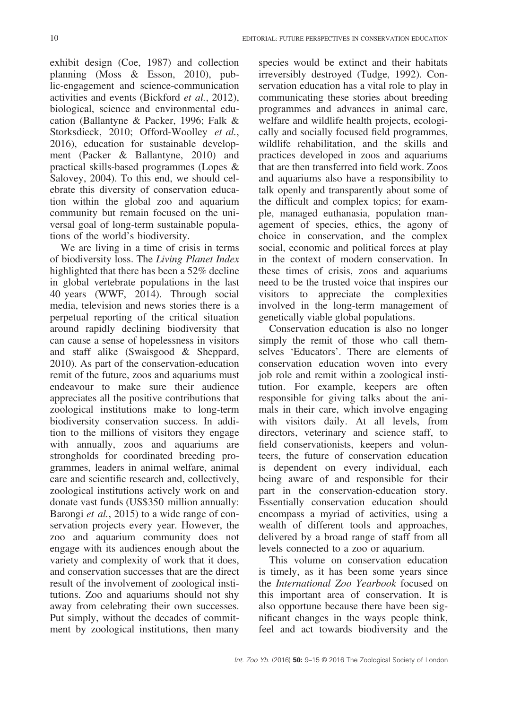exhibit design (Coe, 1987) and collection planning (Moss & Esson, 2010), public-engagement and science-communication activities and events (Bickford et al., 2012), biological, science and environmental education (Ballantyne & Packer, 1996; Falk & Storksdieck, 2010; Offord-Woolley et al., 2016), education for sustainable development (Packer & Ballantyne, 2010) and practical skills-based programmes (Lopes & Salovey, 2004). To this end, we should celebrate this diversity of conservation education within the global zoo and aquarium community but remain focused on the universal goal of long-term sustainable populations of the world's biodiversity.

We are living in a time of crisis in terms of biodiversity loss. The Living Planet Index highlighted that there has been a 52% decline in global vertebrate populations in the last 40 years (WWF, 2014). Through social media, television and news stories there is a perpetual reporting of the critical situation around rapidly declining biodiversity that can cause a sense of hopelessness in visitors and staff alike (Swaisgood & Sheppard, 2010). As part of the conservation-education remit of the future, zoos and aquariums must endeavour to make sure their audience appreciates all the positive contributions that zoological institutions make to long-term biodiversity conservation success. In addition to the millions of visitors they engage with annually, zoos and aquariums are strongholds for coordinated breeding programmes, leaders in animal welfare, animal care and scientific research and, collectively, zoological institutions actively work on and donate vast funds (US\$350 million annually: Barongi *et al.*, 2015) to a wide range of conservation projects every year. However, the zoo and aquarium community does not engage with its audiences enough about the variety and complexity of work that it does, and conservation successes that are the direct result of the involvement of zoological institutions. Zoo and aquariums should not shy away from celebrating their own successes. Put simply, without the decades of commitment by zoological institutions, then many

species would be extinct and their habitats irreversibly destroyed (Tudge, 1992). Conservation education has a vital role to play in communicating these stories about breeding programmes and advances in animal care, welfare and wildlife health projects, ecologically and socially focused field programmes, wildlife rehabilitation, and the skills and practices developed in zoos and aquariums that are then transferred into field work. Zoos and aquariums also have a responsibility to talk openly and transparently about some of the difficult and complex topics; for example, managed euthanasia, population management of species, ethics, the agony of choice in conservation, and the complex social, economic and political forces at play in the context of modern conservation. In these times of crisis, zoos and aquariums need to be the trusted voice that inspires our visitors to appreciate the complexities involved in the long-term management of genetically viable global populations.

Conservation education is also no longer simply the remit of those who call themselves 'Educators'. There are elements of conservation education woven into every job role and remit within a zoological institution. For example, keepers are often responsible for giving talks about the animals in their care, which involve engaging with visitors daily. At all levels, from directors, veterinary and science staff, to field conservationists, keepers and volunteers, the future of conservation education is dependent on every individual, each being aware of and responsible for their part in the conservation-education story. Essentially conservation education should encompass a myriad of activities, using a wealth of different tools and approaches, delivered by a broad range of staff from all levels connected to a zoo or aquarium.

This volume on conservation education is timely, as it has been some years since the International Zoo Yearbook focused on this important area of conservation. It is also opportune because there have been significant changes in the ways people think, feel and act towards biodiversity and the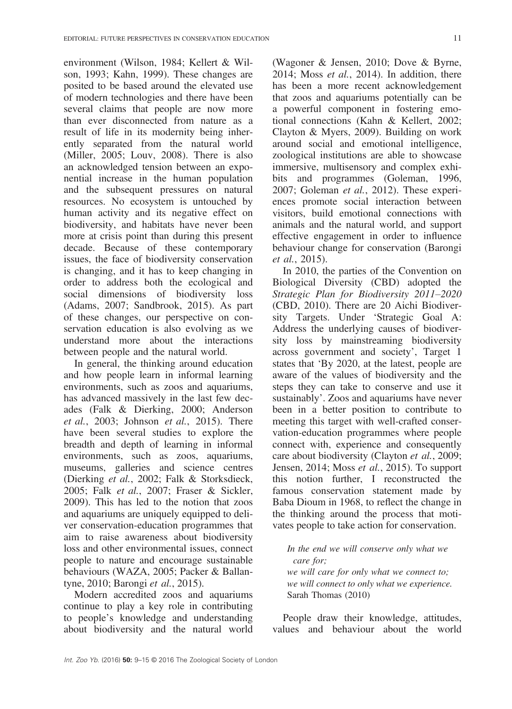environment (Wilson, 1984; Kellert & Wilson, 1993; Kahn, 1999). These changes are posited to be based around the elevated use of modern technologies and there have been several claims that people are now more than ever disconnected from nature as a result of life in its modernity being inherently separated from the natural world (Miller, 2005; Louv, 2008). There is also an acknowledged tension between an exponential increase in the human population and the subsequent pressures on natural resources. No ecosystem is untouched by human activity and its negative effect on biodiversity, and habitats have never been more at crisis point than during this present decade. Because of these contemporary issues, the face of biodiversity conservation is changing, and it has to keep changing in order to address both the ecological and social dimensions of biodiversity loss (Adams, 2007; Sandbrook, 2015). As part of these changes, our perspective on conservation education is also evolving as we understand more about the interactions between people and the natural world.

In general, the thinking around education and how people learn in informal learning environments, such as zoos and aquariums, has advanced massively in the last few decades (Falk & Dierking, 2000; Anderson et al., 2003; Johnson et al., 2015). There have been several studies to explore the breadth and depth of learning in informal environments, such as zoos, aquariums, museums, galleries and science centres (Dierking et al., 2002; Falk & Storksdieck, 2005; Falk et al., 2007; Fraser & Sickler, 2009). This has led to the notion that zoos and aquariums are uniquely equipped to deliver conservation-education programmes that aim to raise awareness about biodiversity loss and other environmental issues, connect people to nature and encourage sustainable behaviours (WAZA, 2005; Packer & Ballantyne, 2010; Barongi et al., 2015).

Modern accredited zoos and aquariums continue to play a key role in contributing to people's knowledge and understanding about biodiversity and the natural world (Wagoner & Jensen, 2010; Dove & Byrne, 2014; Moss et al., 2014). In addition, there has been a more recent acknowledgement that zoos and aquariums potentially can be a powerful component in fostering emotional connections (Kahn & Kellert, 2002; Clayton & Myers, 2009). Building on work around social and emotional intelligence, zoological institutions are able to showcase immersive, multisensory and complex exhibits and programmes (Goleman, 1996, 2007; Goleman et al., 2012). These experiences promote social interaction between visitors, build emotional connections with animals and the natural world, and support effective engagement in order to influence behaviour change for conservation (Barongi et al., 2015).

In 2010, the parties of the Convention on Biological Diversity (CBD) adopted the Strategic Plan for Biodiversity 2011–2020 (CBD, 2010). There are 20 Aichi Biodiversity Targets. Under 'Strategic Goal A: Address the underlying causes of biodiversity loss by mainstreaming biodiversity across government and society', Target 1 states that 'By 2020, at the latest, people are aware of the values of biodiversity and the steps they can take to conserve and use it sustainably'. Zoos and aquariums have never been in a better position to contribute to meeting this target with well-crafted conservation-education programmes where people connect with, experience and consequently care about biodiversity (Clayton et al., 2009; Jensen, 2014; Moss et al., 2015). To support this notion further, I reconstructed the famous conservation statement made by Baba Dioum in 1968, to reflect the change in the thinking around the process that motivates people to take action for conservation.

In the end we will conserve only what we care for; we will care for only what we connect to; we will connect to only what we experience. Sarah Thomas (2010)

People draw their knowledge, attitudes, values and behaviour about the world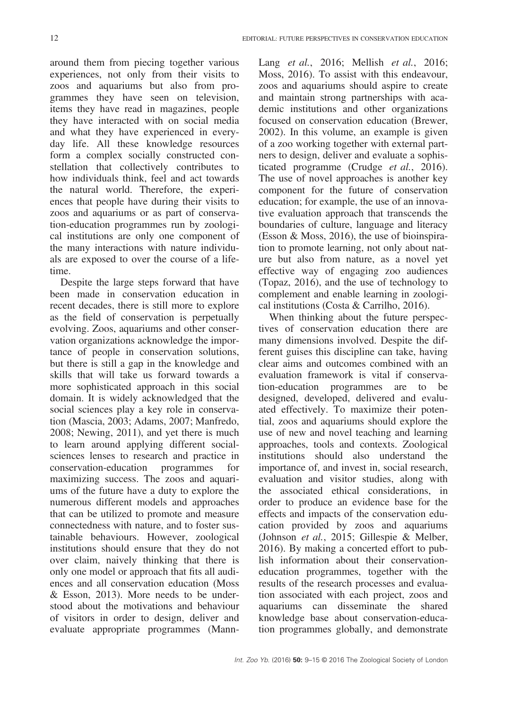around them from piecing together various experiences, not only from their visits to zoos and aquariums but also from programmes they have seen on television, items they have read in magazines, people they have interacted with on social media and what they have experienced in everyday life. All these knowledge resources form a complex socially constructed constellation that collectively contributes to how individuals think, feel and act towards the natural world. Therefore, the experiences that people have during their visits to zoos and aquariums or as part of conservation-education programmes run by zoological institutions are only one component of the many interactions with nature individuals are exposed to over the course of a lifetime.

Despite the large steps forward that have been made in conservation education in recent decades, there is still more to explore as the field of conservation is perpetually evolving. Zoos, aquariums and other conservation organizations acknowledge the importance of people in conservation solutions, but there is still a gap in the knowledge and skills that will take us forward towards a more sophisticated approach in this social domain. It is widely acknowledged that the social sciences play a key role in conservation (Mascia, 2003; Adams, 2007; Manfredo, 2008; Newing, 2011), and yet there is much to learn around applying different socialsciences lenses to research and practice in conservation-education programmes for maximizing success. The zoos and aquariums of the future have a duty to explore the numerous different models and approaches that can be utilized to promote and measure connectedness with nature, and to foster sustainable behaviours. However, zoological institutions should ensure that they do not over claim, naively thinking that there is only one model or approach that fits all audiences and all conservation education (Moss & Esson, 2013). More needs to be understood about the motivations and behaviour of visitors in order to design, deliver and evaluate appropriate programmes (Mann-

Lang et al., 2016; Mellish et al., 2016; Moss, 2016). To assist with this endeavour, zoos and aquariums should aspire to create and maintain strong partnerships with academic institutions and other organizations focused on conservation education (Brewer, 2002). In this volume, an example is given of a zoo working together with external partners to design, deliver and evaluate a sophisticated programme (Crudge et al., 2016). The use of novel approaches is another key component for the future of conservation education; for example, the use of an innovative evaluation approach that transcends the boundaries of culture, language and literacy (Esson & Moss, 2016), the use of bioinspiration to promote learning, not only about nature but also from nature, as a novel yet effective way of engaging zoo audiences (Topaz, 2016), and the use of technology to complement and enable learning in zoological institutions (Costa & Carrilho, 2016).

When thinking about the future perspectives of conservation education there are many dimensions involved. Despite the different guises this discipline can take, having clear aims and outcomes combined with an evaluation framework is vital if conservation-education programmes are to be designed, developed, delivered and evaluated effectively. To maximize their potential, zoos and aquariums should explore the use of new and novel teaching and learning approaches, tools and contexts. Zoological institutions should also understand the importance of, and invest in, social research, evaluation and visitor studies, along with the associated ethical considerations, in order to produce an evidence base for the effects and impacts of the conservation education provided by zoos and aquariums (Johnson et al., 2015; Gillespie & Melber, 2016). By making a concerted effort to publish information about their conservationeducation programmes, together with the results of the research processes and evaluation associated with each project, zoos and aquariums can disseminate the shared knowledge base about conservation-education programmes globally, and demonstrate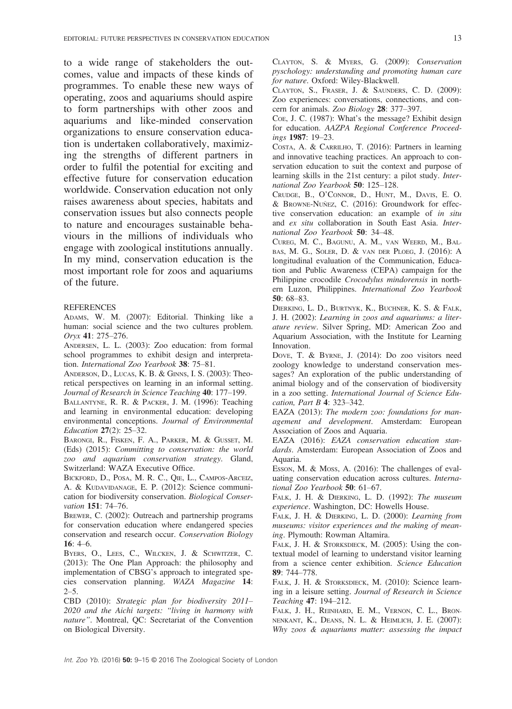to a wide range of stakeholders the outcomes, value and impacts of these kinds of programmes. To enable these new ways of operating, zoos and aquariums should aspire to form partnerships with other zoos and aquariums and like-minded conservation organizations to ensure conservation education is undertaken collaboratively, maximizing the strengths of different partners in order to fulfil the potential for exciting and effective future for conservation education worldwide. Conservation education not only raises awareness about species, habitats and conservation issues but also connects people to nature and encourages sustainable behaviours in the millions of individuals who engage with zoological institutions annually. In my mind, conservation education is the most important role for zoos and aquariums of the future.

## **REFERENCES**

ADAMS, W. M. (2007): Editorial. Thinking like a human: social science and the two cultures problem. Oryx 41: 275–276.

ANDERSEN, L. L. (2003): Zoo education: from formal school programmes to exhibit design and interpretation. International Zoo Yearbook 38: 75–81.

ANDERSON, D., LUCAS, K. B. & GINNS, I. S. (2003): Theoretical perspectives on learning in an informal setting. Journal of Research in Science Teaching 40: 177–199.

BALLANTYNE, R. R. & PACKER, J. M. (1996): Teaching and learning in environmental education: developing environmental conceptions. Journal of Environmental Education 27(2): 25–32.

BARONGI, R., FISKEN, F. A., PARKER, M. & GUSSET, M. (Eds) (2015): Committing to conservation: the world zoo and aquarium conservation strategy. Gland, Switzerland: WAZA Executive Office.

BICKFORD, D., POSA, M. R. C., QIE, L., CAMPOS-ARCEIZ, A. & KUDAVIDANAGE, E. P. (2012): Science communication for biodiversity conservation. Biological Conservation 151: 74–76.

BREWER, C. (2002): Outreach and partnership programs for conservation education where endangered species conservation and research occur. Conservation Biology 16: 4–6.

BYERS, O., LEES, C., WILCKEN, J. & SCHWITZER, C. (2013): The One Plan Approach: the philosophy and implementation of CBSG's approach to integrated species conservation planning. WAZA Magazine 14:  $2 - 5.$ 

CBD (2010): Strategic plan for biodiversity 2011– 2020 and the Aichi targets: "living in harmony with nature". Montreal, QC: Secretariat of the Convention on Biological Diversity.

CLAYTON, S. & MYERS, G. (2009): Conservation pyschology: understanding and promoting human care for nature. Oxford: Wiley-Blackwell.

CLAYTON, S., FRASER, J. & SAUNDERS, C. D. (2009): Zoo experiences: conversations, connections, and concern for animals. Zoo Biology 28: 377–397.

COE, J. C. (1987): What's the message? Exhibit design for education. AAZPA Regional Conference Proceedings 1987: 19–23.

COSTA, A. & CARRILHO, T. (2016): Partners in learning and innovative teaching practices. An approach to conservation education to suit the context and purpose of learning skills in the 21st century: a pilot study. International Zoo Yearbook 50: 125–128.

CRUDGE, B., O'CONNOR, D., HUNT, M., DAVIS, E. O. & BROWNE-NUÑEZ, C. (2016): Groundwork for effective conservation education: an example of in situ and ex situ collaboration in South East Asia. International Zoo Yearbook 50: 34–48.

CUREG, M. C., BAGUNU, A. M., VAN WEERD, M., BAL-BAS, M. G., SOLER, D. & VAN DER PLOEG, J. (2016): A longitudinal evaluation of the Communication, Education and Public Awareness (CEPA) campaign for the Philippine crocodile Crocodylus mindorensis in northern Luzon, Philippines. International Zoo Yearbook 50: 68–83.

DIERKING, L. D., BURTNYK, K., BUCHNER, K. S. & FALK, J. H. (2002): Learning in zoos and aquariums: a literature review. Silver Spring, MD: American Zoo and Aquarium Association, with the Institute for Learning Innovation.

DOVE, T. & BYRNE, J. (2014): Do zoo visitors need zoology knowledge to understand conservation messages? An exploration of the public understanding of animal biology and of the conservation of biodiversity in a zoo setting. International Journal of Science Education, Part B 4: 323–342.

EAZA (2013): The modern zoo: foundations for management and development. Amsterdam: European Association of Zoos and Aquaria.

EAZA (2016): EAZA conservation education standards. Amsterdam: European Association of Zoos and Aquaria.

ESSON, M. & MOSS, A. (2016): The challenges of evaluating conservation education across cultures. International Zoo Yearbook 50: 61–67.

FALK, J. H. & DIERKING, L. D. (1992): The museum experience. Washington, DC: Howells House.

FALK, J. H. & DIERKING, L. D. (2000): Learning from museums: visitor experiences and the making of meaning. Plymouth: Rowman Altamira.

FALK, J. H. & STORKSDIECK, M. (2005): Using the contextual model of learning to understand visitor learning from a science center exhibition. Science Education 89: 744–778.

FALK, J. H. & STORKSDIECK, M. (2010): Science learning in a leisure setting. Journal of Research in Science Teaching 47: 194–212.

FALK, J. H., REINHARD, E. M., VERNON, C. L., BRON-NENKANT, K., DEANS, N. L. & HEIMLICH, J. E. (2007): Why zoos & aquariums matter: assessing the impact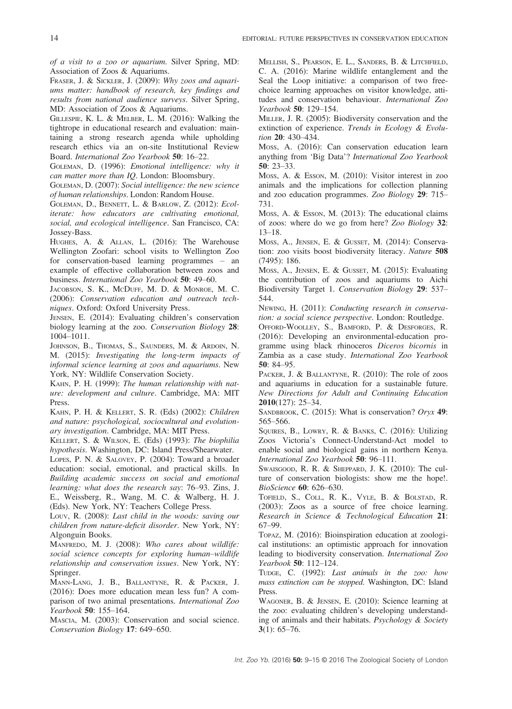of a visit to a zoo or aquarium. Silver Spring, MD: Association of Zoos & Aquariums.

FRASER, J. & SICKLER, J. (2009): Why zoos and aquariums matter: handbook of research, key findings and results from national audience surveys. Silver Spring, MD: Association of Zoos & Aquariums.

GILLESPIE, K. L. & MELBER, L. M. (2016): Walking the tightrope in educational research and evaluation: maintaining a strong research agenda while upholding research ethics via an on-site Institutional Review Board. International Zoo Yearbook 50: 16–22.

GOLEMAN, D. (1996): Emotional intelligence: why it can matter more than IQ. London: Bloomsbury.

GOLEMAN, D. (2007): Social intelligence: the new science of human relationships. London: Random House.

GOLEMAN, D., BENNETT, L. & BARLOW, Z. (2012): Ecoliterate: how educators are cultivating emotional, social, and ecological intelligence. San Francisco, CA: Jossey-Bass.

HUGHES, A. & ALLAN, L. (2016): The Warehouse Wellington Zoofari: school visits to Wellington Zoo for conservation-based learning programmes – an example of effective collaboration between zoos and business. International Zoo Yearbook 50: 49–60.

JACOBSON, S. K., MCDUFF, M. D. & MONROE, M. C. (2006): Conservation education and outreach techniques. Oxford: Oxford University Press.

JENSEN, E. (2014): Evaluating children's conservation biology learning at the zoo. Conservation Biology 28: 1004–1011.

JOHNSON, B., THOMAS, S., SAUNDERS, M. & ARDOIN, N. M. (2015): Investigating the long-term impacts of informal science learning at zoos and aquariums. New York, NY: Wildlife Conservation Society.

KAHN, P. H. (1999): The human relationship with nature: development and culture. Cambridge, MA: MIT Press.

KAHN, P. H. & KELLERT, S. R. (Eds) (2002): Children and nature: psychological, sociocultural and evolutionary investigation. Cambridge, MA: MIT Press.

KELLERT, S. & WILSON, E. (Eds) (1993): The biophilia hypothesis. Washington, DC: Island Press/Shearwater.

LOPES, P. N. & SALOVEY, P. (2004): Toward a broader education: social, emotional, and practical skills. In Building academic success on social and emotional learning: what does the research say: 76–93. Zins, J. E., Weissberg, R., Wang, M. C. & Walberg, H. J. (Eds). New York, NY: Teachers College Press.

LOUV, R. (2008): Last child in the woods: saving our children from nature-deficit disorder. New York, NY: Algonguin Books.

MANFREDO, M. J. (2008): Who cares about wildlife: social science concepts for exploring human–wildlife relationship and conservation issues. New York, NY: Springer.

MANN-LANG, J. B., BALLANTYNE, R. & PACKER, J. (2016): Does more education mean less fun? A comparison of two animal presentations. International Zoo Yearbook 50: 155–164.

MASCIA, M. (2003): Conservation and social science. Conservation Biology 17: 649–650.

MELLISH, S., PEARSON, E. L., SANDERS, B. & LITCHFIELD, C. A. (2016): Marine wildlife entanglement and the Seal the Loop initiative: a comparison of two freechoice learning approaches on visitor knowledge, attitudes and conservation behaviour. International Zoo Yearbook 50: 129–154.

MILLER, J. R. (2005): Biodiversity conservation and the extinction of experience. Trends in Ecology & Evolution 20: 430-434.

MOSS, A. (2016): Can conservation education learn anything from 'Big Data'? International Zoo Yearbook 50: 23–33.

MOSS, A. & ESSON, M. (2010): Visitor interest in zoo animals and the implications for collection planning and zoo education programmes. Zoo Biology 29: 715– 731.

MOSS, A. & ESSON, M. (2013): The educational claims of zoos: where do we go from here? Zoo Biology 32: 13–18.

MOSS, A., JENSEN, E. & GUSSET, M. (2014): Conservation: zoo visits boost biodiversity literacy. Nature 508 (7495): 186.

MOSS, A., JENSEN, E. & GUSSET, M. (2015): Evaluating the contribution of zoos and aquariums to Aichi Biodiversity Target 1. Conservation Biology 29: 537– 544.

NEWING, H. (2011): Conducting research in conservation: a social science perspective. London: Routledge.

OFFORD-WOOLLEY, S., BAMFORD, P. & DESFORGES, R. (2016): Developing an environmental-education programme using black rhinoceros Diceros bicornis in Zambia as a case study. International Zoo Yearbook 50: 84–95.

PACKER, J. & BALLANTYNE, R. (2010): The role of zoos and aquariums in education for a sustainable future. New Directions for Adult and Continuing Education 2010(127): 25–34.

SANDBROOK, C. (2015): What is conservation? Oryx 49: 565–566.

SQUIRES, B., LOWRY, R. & BANKS, C. (2016): Utilizing Zoos Victoria's Connect-Understand-Act model to enable social and biological gains in northern Kenya. International Zoo Yearbook 50: 96–111.

SWAISGOOD, R. R. & SHEPPARD, J. K. (2010): The culture of conservation biologists: show me the hope!. BioScience 60: 626–630.

TOFIELD, S., COLL, R. K., VYLE, B. & BOLSTAD, R. (2003): Zoos as a source of free choice learning. Research in Science & Technological Education 21: 67–99.

TOPAZ, M. (2016): Bioinspiration education at zoological institutions: an optimistic approach for innovation leading to biodiversity conservation. International Zoo Yearbook 50: 112–124.

TUDGE, C. (1992): Last animals in the zoo: how mass extinction can be stopped. Washington, DC: Island Press.

WAGONER, B. & JENSEN, E. (2010): Science learning at the zoo: evaluating children's developing understanding of animals and their habitats. Psychology & Society 3(1): 65–76.